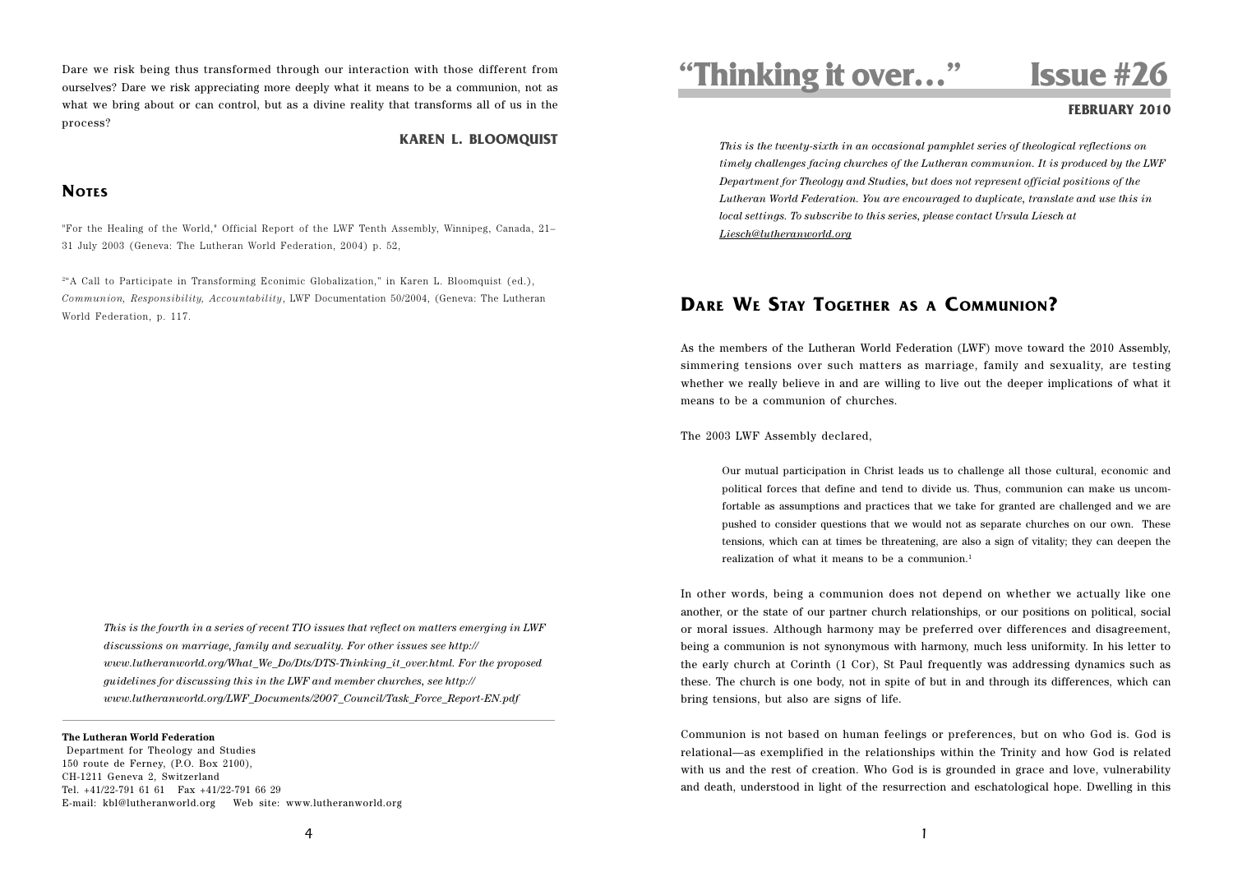Dare we risk being thus transformed through our interaction with those different from ourselves? Dare we risk appreciating more deeply what it means to be a communion, not as what we bring about or can control, but as a divine reality that transforms all of us in the process?

### **KAREN L. BLOOMQUIST**

## **NOTES**

"For the Healing of the World," Official Report of the LWF Tenth Assembly, Winnipeg, Canada, 21– 31 July 2003 (Geneva: The Lutheran World Federation, 2004) p. 52,

2"A Call to Participate in Transforming Econimic Globalization," in Karen L. Bloomquist (ed.), *Communion, Responsibility, Accountability*, LWF Documentation 50/2004, (Geneva: The Lutheran World Federation, p. 117.

*This is the fourth in a series of recent TIO issues that reflect on matters emerging in LWF discussions on marriage, family and sexuality. For other issues see http:// www.lutheranworld.org/What\_We\_Do/Dts/DTS-Thinking\_it\_over.html. For the proposed guidelines for discussing this in the LWF and member churches, see http:// www.lutheranworld.org/LWF\_Documents/2007\_Council/Task\_Force\_Report-EN.pdf*

### **The Lutheran World Federation**

 Department for Theology and Studies 150 route de Ferney, (P.O. Box 2100), CH-1211 Geneva 2, Switzerland Tel. +41/22-791 61 61 Fax +41/22-791 66 29 E-mail: kbl@lutheranworld.org Web site: www.lutheranworld.org **"Thinking it over…" Issue #26**

### **FEBRUARY 2010**

*This is the twenty-sixth in an occasional pamphlet series of theological reflections on timely challenges facing churches of the Lutheran communion. It is produced by the LWF Department for Theology and Studies, but does not represent official positions of the Lutheran World Federation. You are encouraged to duplicate, translate and use this in local settings. To subscribe to this series, please contact Ursula Liesch at Liesch@lutheranworld.org*

# **DARE WE STAY TOGETHER AS A COMMUNION?**

As the members of the Lutheran World Federation (LWF) move toward the 2010 Assembly, simmering tensions over such matters as marriage, family and sexuality, are testing whether we really believe in and are willing to live out the deeper implications of what it means to be a communion of churches.

The 2003 LWF Assembly declared,

Our mutual participation in Christ leads us to challenge all those cultural, economic and political forces that define and tend to divide us. Thus, communion can make us uncomfortable as assumptions and practices that we take for granted are challenged and we are pushed to consider questions that we would not as separate churches on our own. These tensions, which can at times be threatening, are also a sign of vitality; they can deepen the realization of what it means to be a communion.<sup>1</sup>

In other words, being a communion does not depend on whether we actually like one another, or the state of our partner church relationships, or our positions on political, social or moral issues. Although harmony may be preferred over differences and disagreement, being a communion is not synonymous with harmony, much less uniformity. In his letter to the early church at Corinth (1 Cor), St Paul frequently was addressing dynamics such as these. The church is one body, not in spite of but in and through its differences, which can bring tensions, but also are signs of life.

Communion is not based on human feelings or preferences, but on who God is. God is relational—as exemplified in the relationships within the Trinity and how God is related with us and the rest of creation. Who God is is grounded in grace and love, vulnerability and death, understood in light of the resurrection and eschatological hope. Dwelling in this